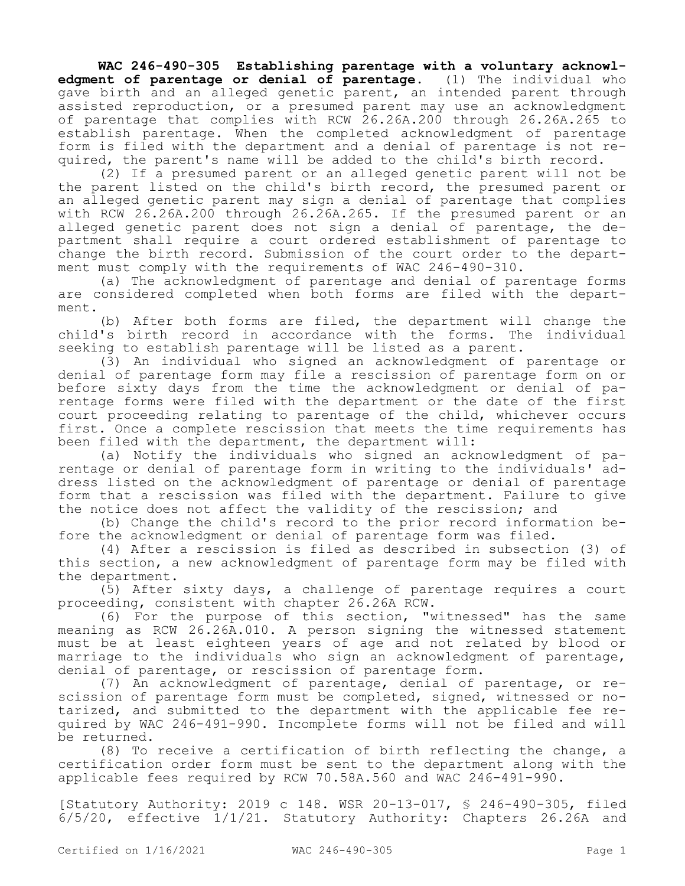**WAC 246-490-305 Establishing parentage with a voluntary acknowledgment of parentage or denial of parentage.** (1) The individual who gave birth and an alleged genetic parent, an intended parent through assisted reproduction, or a presumed parent may use an acknowledgment of parentage that complies with RCW 26.26A.200 through 26.26A.265 to establish parentage. When the completed acknowledgment of parentage form is filed with the department and a denial of parentage is not required, the parent's name will be added to the child's birth record.

(2) If a presumed parent or an alleged genetic parent will not be the parent listed on the child's birth record, the presumed parent or an alleged genetic parent may sign a denial of parentage that complies with RCW 26.26A.200 through 26.26A.265. If the presumed parent or an alleged genetic parent does not sign a denial of parentage, the department shall require a court ordered establishment of parentage to change the birth record. Submission of the court order to the department must comply with the requirements of WAC 246-490-310.

(a) The acknowledgment of parentage and denial of parentage forms are considered completed when both forms are filed with the department.

(b) After both forms are filed, the department will change the child's birth record in accordance with the forms. The individual seeking to establish parentage will be listed as a parent.

(3) An individual who signed an acknowledgment of parentage or denial of parentage form may file a rescission of parentage form on or before sixty days from the time the acknowledgment or denial of parentage forms were filed with the department or the date of the first court proceeding relating to parentage of the child, whichever occurs first. Once a complete rescission that meets the time requirements has been filed with the department, the department will:

(a) Notify the individuals who signed an acknowledgment of parentage or denial of parentage form in writing to the individuals' address listed on the acknowledgment of parentage or denial of parentage form that a rescission was filed with the department. Failure to give the notice does not affect the validity of the rescission; and

(b) Change the child's record to the prior record information before the acknowledgment or denial of parentage form was filed.

(4) After a rescission is filed as described in subsection (3) of this section, a new acknowledgment of parentage form may be filed with the department.

(5) After sixty days, a challenge of parentage requires a court proceeding, consistent with chapter 26.26A RCW.

(6) For the purpose of this section, "witnessed" has the same meaning as RCW 26.26A.010. A person signing the witnessed statement must be at least eighteen years of age and not related by blood or marriage to the individuals who sign an acknowledgment of parentage, denial of parentage, or rescission of parentage form.

(7) An acknowledgment of parentage, denial of parentage, or rescission of parentage form must be completed, signed, witnessed or notarized, and submitted to the department with the applicable fee required by WAC 246-491-990. Incomplete forms will not be filed and will be returned.

(8) To receive a certification of birth reflecting the change, a certification order form must be sent to the department along with the applicable fees required by RCW 70.58A.560 and WAC 246-491-990.

[Statutory Authority: 2019 c 148. WSR 20-13-017, § 246-490-305, filed 6/5/20, effective 1/1/21. Statutory Authority: Chapters 26.26A and